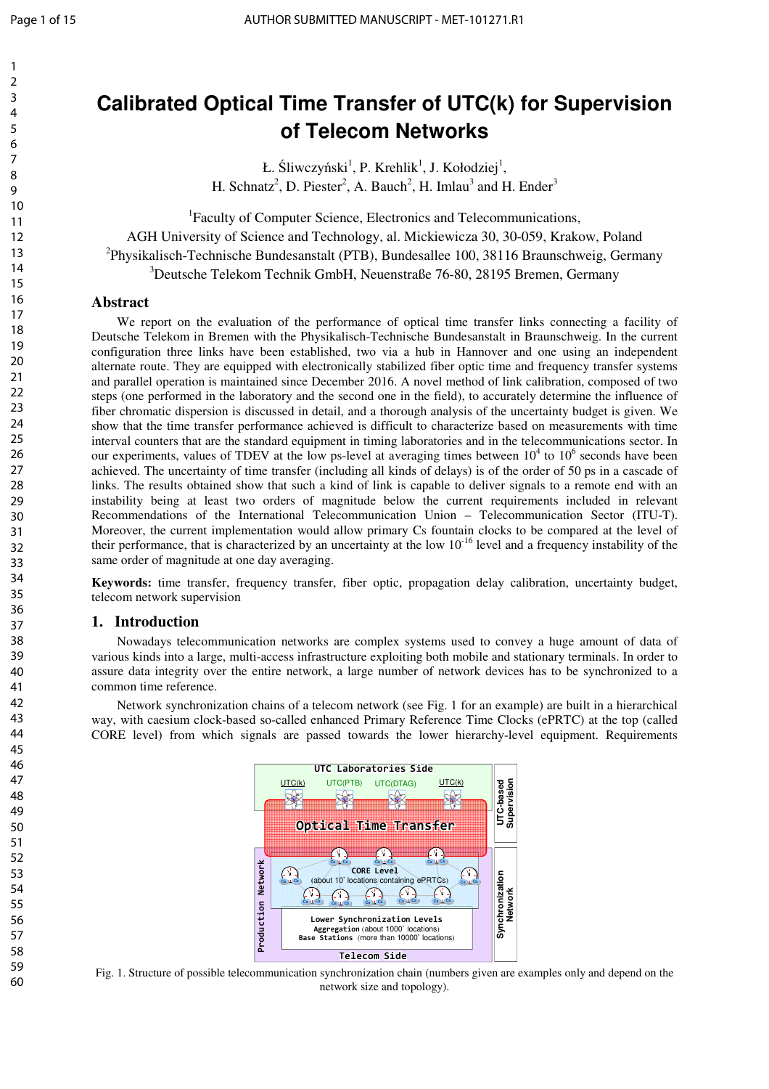# **Calibrated Optical Time Transfer of UTC(k) for Supervision of Telecom Networks**

Ł. Śliwczyński<sup>1</sup>, P. Krehlik<sup>1</sup>, J. Kołodziej<sup>1</sup>, H. Schnatz<sup>2</sup>, D. Piester<sup>2</sup>, A. Bauch<sup>2</sup>, H. Imlau<sup>3</sup> and H. Ender<sup>3</sup>

1 Faculty of Computer Science, Electronics and Telecommunications, AGH University of Science and Technology, al. Mickiewicza 30, 30-059, Krakow, Poland <sup>2</sup>Physikalisch-Technische Bundesanstalt (PTB), Bundesallee 100, 38116 Braunschweig, Germany <sup>3</sup>Deutsche Telekom Technik GmbH, Neuenstraße 76-80, 28195 Bremen, Germany

## **Abstract**

We report on the evaluation of the performance of optical time transfer links connecting a facility of Deutsche Telekom in Bremen with the Physikalisch-Technische Bundesanstalt in Braunschweig. In the current configuration three links have been established, two via a hub in Hannover and one using an independent alternate route. They are equipped with electronically stabilized fiber optic time and frequency transfer systems and parallel operation is maintained since December 2016. A novel method of link calibration, composed of two steps (one performed in the laboratory and the second one in the field), to accurately determine the influence of fiber chromatic dispersion is discussed in detail, and a thorough analysis of the uncertainty budget is given. We show that the time transfer performance achieved is difficult to characterize based on measurements with time interval counters that are the standard equipment in timing laboratories and in the telecommunications sector. In our experiments, values of TDEV at the low ps-level at averaging times between  $10^4$  to  $10^6$  seconds have been achieved. The uncertainty of time transfer (including all kinds of delays) is of the order of 50 ps in a cascade of links. The results obtained show that such a kind of link is capable to deliver signals to a remote end with an instability being at least two orders of magnitude below the current requirements included in relevant Recommendations of the International Telecommunication Union – Telecommunication Sector (ITU-T). Moreover, the current implementation would allow primary Cs fountain clocks to be compared at the level of their performance, that is characterized by an uncertainty at the low  $10^{-16}$  level and a frequency instability of the same order of magnitude at one day averaging.

**Keywords:** time transfer, frequency transfer, fiber optic, propagation delay calibration, uncertainty budget, telecom network supervision

## **1. Introduction**

Nowadays telecommunication networks are complex systems used to convey a huge amount of data of various kinds into a large, multi-access infrastructure exploiting both mobile and stationary terminals. In order to assure data integrity over the entire network, a large number of network devices has to be synchronized to a common time reference.

Network synchronization chains of a telecom network (see Fig. 1 for an example) are built in a hierarchical way, with caesium clock-based so-called enhanced Primary Reference Time Clocks (ePRTC) at the top (called CORE level) from which signals are passed towards the lower hierarchy-level equipment. Requirements



Fig. 1. Structure of possible telecommunication synchronization chain (numbers given are examples only and depend on the network size and topology).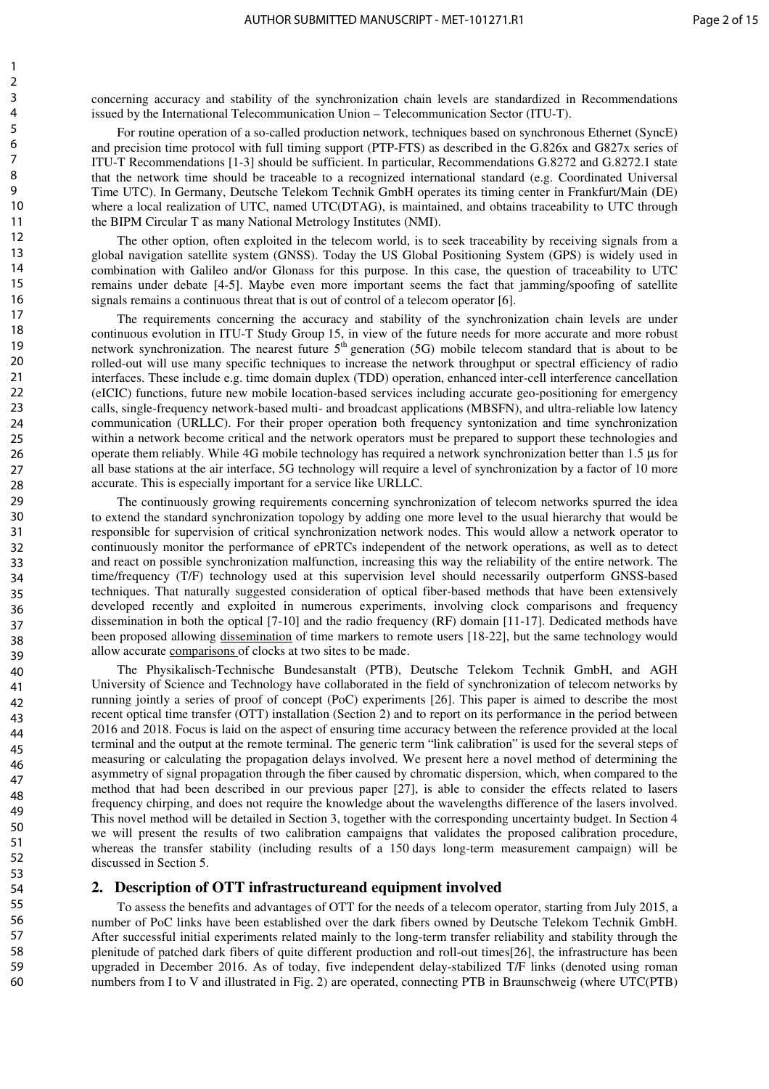concerning accuracy and stability of the synchronization chain levels are standardized in Recommendations issued by the International Telecommunication Union – Telecommunication Sector (ITU-T).

For routine operation of a so-called production network, techniques based on synchronous Ethernet (SyncE) and precision time protocol with full timing support (PTP-FTS) as described in the G.826x and G827x series of ITU-T Recommendations [1-3] should be sufficient. In particular, Recommendations G.8272 and G.8272.1 state that the network time should be traceable to a recognized international standard (e.g. Coordinated Universal Time UTC). In Germany, Deutsche Telekom Technik GmbH operates its timing center in Frankfurt/Main (DE) where a local realization of UTC, named UTC(DTAG), is maintained, and obtains traceability to UTC through the BIPM Circular T as many National Metrology Institutes (NMI).

The other option, often exploited in the telecom world, is to seek traceability by receiving signals from a global navigation satellite system (GNSS). Today the US Global Positioning System (GPS) is widely used in combination with Galileo and/or Glonass for this purpose. In this case, the question of traceability to UTC remains under debate [4-5]. Maybe even more important seems the fact that jamming/spoofing of satellite signals remains a continuous threat that is out of control of a telecom operator [6].

The requirements concerning the accuracy and stability of the synchronization chain levels are under continuous evolution in ITU-T Study Group 15, in view of the future needs for more accurate and more robust network synchronization. The nearest future  $5<sup>th</sup>$  generation (5G) mobile telecom standard that is about to be rolled-out will use many specific techniques to increase the network throughput or spectral efficiency of radio interfaces. These include e.g. time domain duplex (TDD) operation, enhanced inter-cell interference cancellation (eICIC) functions, future new mobile location-based services including accurate geo-positioning for emergency calls, single-frequency network-based multi- and broadcast applications (MBSFN), and ultra-reliable low latency communication (URLLC). For their proper operation both frequency syntonization and time synchronization within a network become critical and the network operators must be prepared to support these technologies and operate them reliably. While 4G mobile technology has required a network synchronization better than 1.5 µs for all base stations at the air interface, 5G technology will require a level of synchronization by a factor of 10 more accurate. This is especially important for a service like URLLC.

The continuously growing requirements concerning synchronization of telecom networks spurred the idea to extend the standard synchronization topology by adding one more level to the usual hierarchy that would be responsible for supervision of critical synchronization network nodes. This would allow a network operator to continuously monitor the performance of ePRTCs independent of the network operations, as well as to detect and react on possible synchronization malfunction, increasing this way the reliability of the entire network. The time/frequency (T/F) technology used at this supervision level should necessarily outperform GNSS-based techniques. That naturally suggested consideration of optical fiber-based methods that have been extensively developed recently and exploited in numerous experiments, involving clock comparisons and frequency dissemination in both the optical [7-10] and the radio frequency (RF) domain [11-17]. Dedicated methods have been proposed allowing dissemination of time markers to remote users [18-22], but the same technology would allow accurate comparisons of clocks at two sites to be made.

The Physikalisch-Technische Bundesanstalt (PTB), Deutsche Telekom Technik GmbH, and AGH University of Science and Technology have collaborated in the field of synchronization of telecom networks by running jointly a series of proof of concept (PoC) experiments [26]. This paper is aimed to describe the most recent optical time transfer (OTT) installation (Section 2) and to report on its performance in the period between 2016 and 2018. Focus is laid on the aspect of ensuring time accuracy between the reference provided at the local terminal and the output at the remote terminal. The generic term "link calibration" is used for the several steps of measuring or calculating the propagation delays involved. We present here a novel method of determining the asymmetry of signal propagation through the fiber caused by chromatic dispersion, which, when compared to the method that had been described in our previous paper [27], is able to consider the effects related to lasers frequency chirping, and does not require the knowledge about the wavelengths difference of the lasers involved. This novel method will be detailed in Section 3, together with the corresponding uncertainty budget. In Section 4 we will present the results of two calibration campaigns that validates the proposed calibration procedure, whereas the transfer stability (including results of a 150 days long-term measurement campaign) will be discussed in Section 5.

## **2. Description of OTT infrastructureand equipment involved**

To assess the benefits and advantages of OTT for the needs of a telecom operator, starting from July 2015, a number of PoC links have been established over the dark fibers owned by Deutsche Telekom Technik GmbH. After successful initial experiments related mainly to the long-term transfer reliability and stability through the plenitude of patched dark fibers of quite different production and roll-out times[26], the infrastructure has been upgraded in December 2016. As of today, five independent delay-stabilized T/F links (denoted using roman numbers from I to V and illustrated in Fig. 2) are operated, connecting PTB in Braunschweig (where UTC(PTB)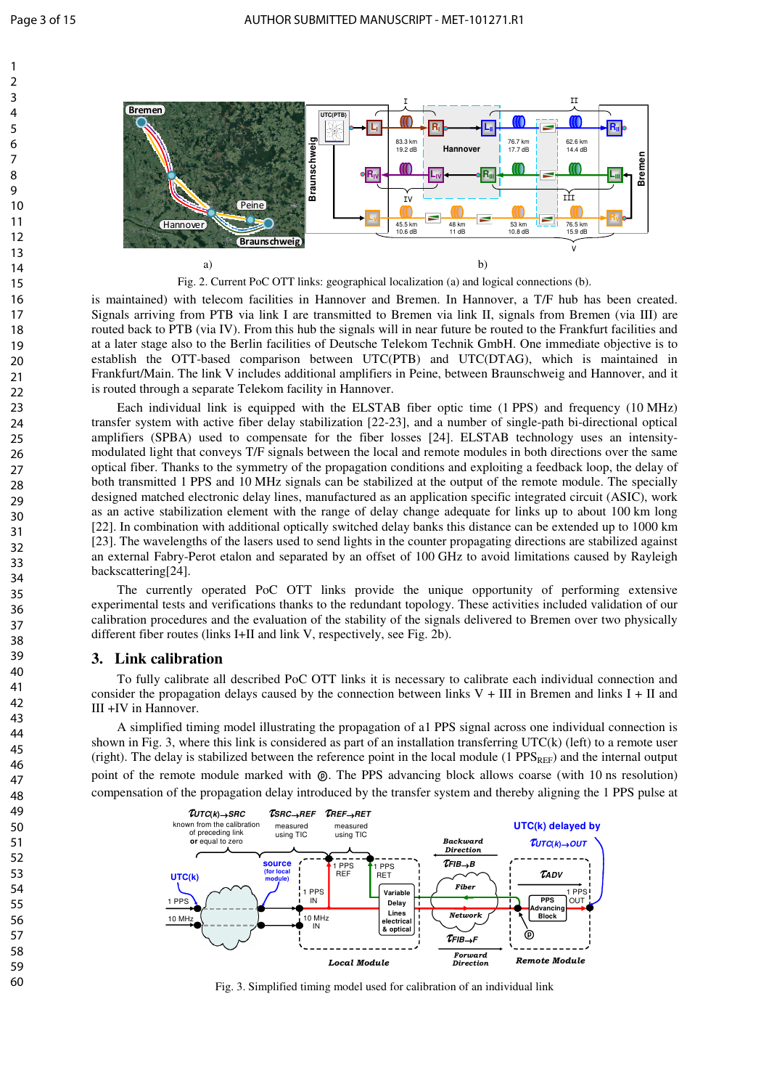

Fig. 2. Current PoC OTT links: geographical localization (a) and logical connections (b).

is maintained) with telecom facilities in Hannover and Bremen. In Hannover, a T/F hub has been created. Signals arriving from PTB via link I are transmitted to Bremen via link II, signals from Bremen (via III) are routed back to PTB (via IV). From this hub the signals will in near future be routed to the Frankfurt facilities and at a later stage also to the Berlin facilities of Deutsche Telekom Technik GmbH. One immediate objective is to establish the OTT-based comparison between UTC(PTB) and UTC(DTAG), which is maintained in Frankfurt/Main. The link V includes additional amplifiers in Peine, between Braunschweig and Hannover, and it is routed through a separate Telekom facility in Hannover.

Each individual link is equipped with the ELSTAB fiber optic time (1 PPS) and frequency (10 MHz) transfer system with active fiber delay stabilization [22-23], and a number of single-path bi-directional optical amplifiers (SPBA) used to compensate for the fiber losses [24]. ELSTAB technology uses an intensitymodulated light that conveys T/F signals between the local and remote modules in both directions over the same optical fiber. Thanks to the symmetry of the propagation conditions and exploiting a feedback loop, the delay of both transmitted 1 PPS and 10 MHz signals can be stabilized at the output of the remote module. The specially designed matched electronic delay lines, manufactured as an application specific integrated circuit (ASIC), work as an active stabilization element with the range of delay change adequate for links up to about 100 km long [22]. In combination with additional optically switched delay banks this distance can be extended up to 1000 km [23]. The wavelengths of the lasers used to send lights in the counter propagating directions are stabilized against an external Fabry-Perot etalon and separated by an offset of 100 GHz to avoid limitations caused by Rayleigh backscattering[24]. **Example 1997**<br> **Example 1997**<br> **Example 1997**<br> **Example 1997**<br> **Example 1997**<br> **Example 1997**<br> **Example 1997**<br> **Example 1997**<br> **Example 1997**<br> **Example 1997**<br> **Example 1997**<br> **Example 1997**<br> **Example 1997**<br> **Example 1997** 

The currently operated PoC OTT links provide the unique opportunity of performing extensive experimental tests and verifications thanks to the redundant topology. These activities included validation of our calibration procedures and the evaluation of the stability of the signals delivered to Bremen over two physically different fiber routes (links I+II and link V, respectively, see Fig. 2b).

# **3. Link calibration**

To fully calibrate all described PoC OTT links it is necessary to calibrate each individual connection and consider the propagation delays caused by the connection between links  $V + III$  in Bremen and links  $I + II$  and III +IV in Hannover.

A simplified timing model illustrating the propagation of a1 PPS signal across one individual connection is shown in Fig. 3, where this link is considered as part of an installation transferring UTC(k) (left) to a remote user (right). The delay is stabilized between the reference point in the local module (1 PPS<sub>REF</sub>) and the internal output point of the remote module marked with  $\circledR$ . The PPS advancing block allows coarse (with 10 ns resolution)



Fig. 3. Simplified timing model used for calibration of an individual link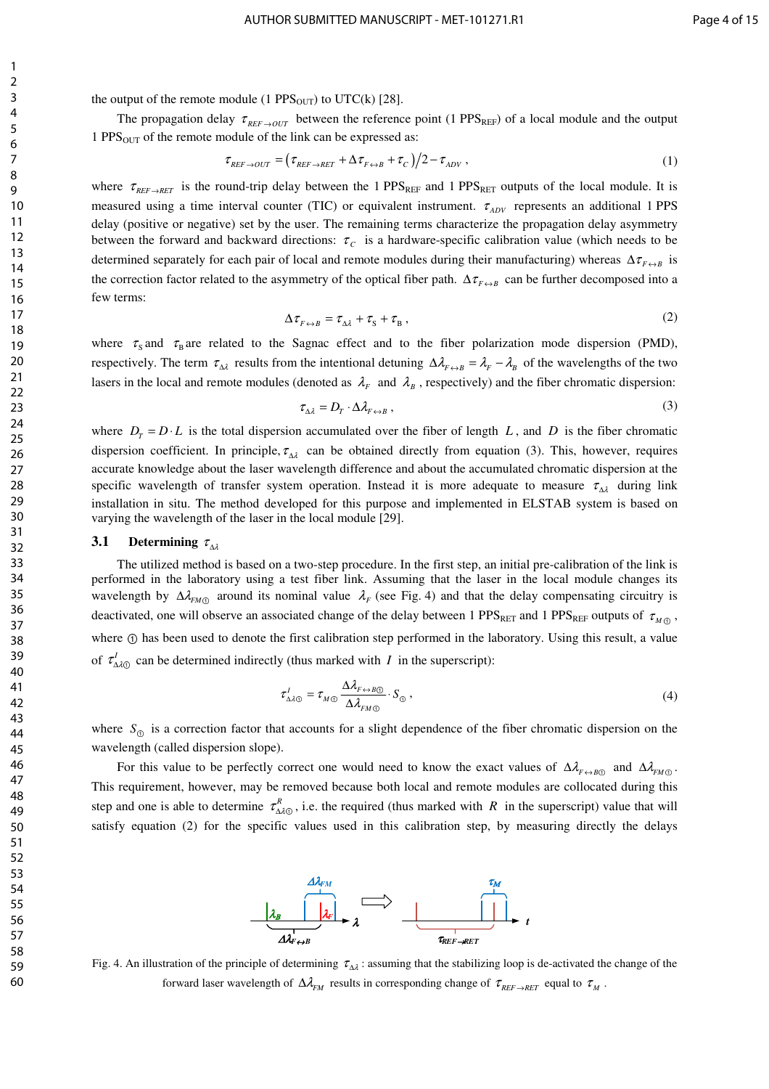1

the output of the remote module (1 PPS $_{\text{OUT}}$ ) to UTC(k) [28].

The propagation delay  $\tau_{REF\to OUT}$  between the reference point (1 PPS<sub>REF</sub>) of a local module and the output 1 PPS $_{\text{OUT}}$  of the remote module of the link can be expressed as:

$$
\tau_{REF \to OUT} = \left(\tau_{REF \to RET} + \Delta \tau_{F \to B} + \tau_C\right)/2 - \tau_{ADV} \,,\tag{1}
$$

where  $\tau_{REF\to RET}$  is the round-trip delay between the 1 PPS<sub>REF</sub> and 1 PPS<sub>RET</sub> outputs of the local module. It is measured using a time interval counter (TIC) or equivalent instrument.  $\tau_{ADV}$  represents an additional 1 PPS delay (positive or negative) set by the user. The remaining terms characterize the propagation delay asymmetry between the forward and backward directions:  $\tau_c$  is a hardware-specific calibration value (which needs to be determined separately for each pair of local and remote modules during their manufacturing) whereas  $\Delta \tau_{F \leftrightarrow B}$  is the correction factor related to the asymmetry of the optical fiber path.  $\Delta \tau_{F \leftrightarrow B}$  can be further decomposed into a few terms:

$$
\Delta \tau_{F \leftrightarrow B} = \tau_{\Delta \lambda} + \tau_{\rm S} + \tau_{\rm B} \,, \tag{2}
$$

where  $\tau_s$  and  $\tau_B$  are related to the Sagnac effect and to the fiber polarization mode dispersion (PMD), respectively. The term  $\tau_{\Delta \lambda}$  results from the intentional detuning  $\Delta \lambda_{F \leftrightarrow B} = \lambda_F - \lambda_B$  of the wavelengths of the two lasers in the local and remote modules (denoted as  $\lambda_F$  and  $\lambda_B$ , respectively) and the fiber chromatic dispersion:

$$
\tau_{\Delta \lambda} = D_T \cdot \Delta \lambda_{F \leftrightarrow B} \,, \tag{3}
$$

where  $D_r = D \cdot L$  is the total dispersion accumulated over the fiber of length *L*, and *D* is the fiber chromatic dispersion coefficient. In principle,  $\tau_{\Delta\lambda}$  can be obtained directly from equation (3). This, however, requires accurate knowledge about the laser wavelength difference and about the accumulated chromatic dispersion at the specific wavelength of transfer system operation. Instead it is more adequate to measure  $\tau_{\Delta\lambda}$  during link installation in situ. The method developed for this purpose and implemented in ELSTAB system is based on varying the wavelength of the laser in the local module [29].

# **3.1 Determining**  $\tau_{\Delta\lambda}$

The utilized method is based on a two-step procedure. In the first step, an initial pre-calibration of the link is performed in the laboratory using a test fiber link. Assuming that the laser in the local module changes its wavelength by  $\Delta \lambda_{FM\odot}$  around its nominal value  $\lambda_F$  (see Fig. 4) and that the delay compensating circuitry is deactivated, one will observe an associated change of the delay between 1 PPS<sub>RET</sub> and 1 PPS<sub>REF</sub> outputs of  $\tau_{M,0}$ , where  $\odot$  has been used to denote the first calibration step performed in the laboratory. Using this result, a value of  $\tau'_{\Delta\lambda\odot}$  can be determined indirectly (thus marked with *I* in the superscript):

$$
\tau_{\Delta\lambda\odot}^{I} = \tau_{M\odot} \frac{\Delta\lambda_{F \leftrightarrow B\odot}}{\Delta\lambda_{F\omega\odot}} \cdot S_{\odot} , \qquad (4)
$$

where  $S_{\odot}$  is a correction factor that accounts for a slight dependence of the fiber chromatic dispersion on the wavelength (called dispersion slope).

For this value to be perfectly correct one would need to know the exact values of  $\Delta \lambda_{F \to B}$  and  $\Delta \lambda_{F M \odot}$ . This requirement, however, may be removed because both local and remote modules are collocated during this step and one is able to determine  $\tau_{\Delta\lambda\odot}^R$ , i.e. the required (thus marked with *R* in the superscript) value that will satisfy equation (2) for the specific values used in this calibration step, by measuring directly the delays



Fig. 4. An illustration of the principle of determining  $\tau_{\Delta\lambda}$ : assuming that the stabilizing loop is de-activated the change of the forward laser wavelength of  $\Delta \lambda_{FM}$  results in corresponding change of  $\tau_{REF\to RET}$  equal to  $\tau_M$ .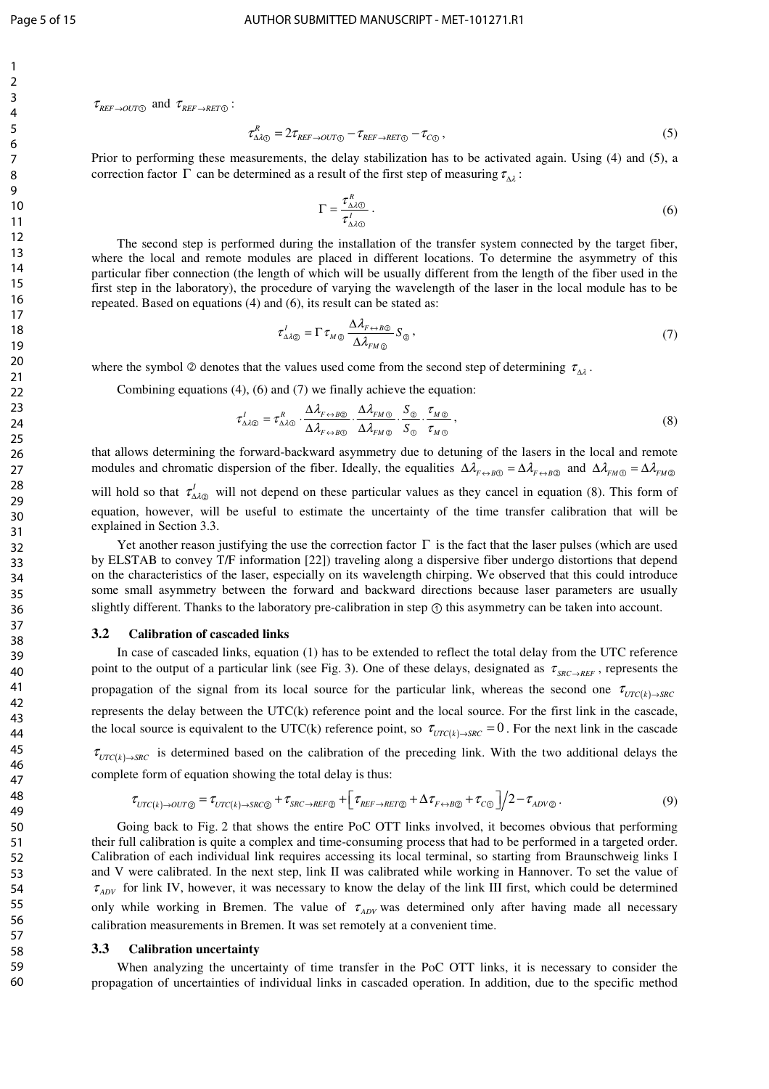$\tau_{REF\rightarrow OUT\odot}$  and  $\tau_{REF\rightarrow RET\odot}$ :

$$
\tau_{\Delta\lambda\mathbb{O}}^R = 2\tau_{REF \to OUT\mathbb{O}} - \tau_{REF \to RET\mathbb{O}} - \tau_{C\mathbb{O}}\,,\tag{5}
$$

Prior to performing these measurements, the delay stabilization has to be activated again. Using (4) and (5), a correction factor  $\Gamma$  can be determined as a result of the first step of measuring  $\tau_{\Delta\lambda}$ :

$$
\Gamma = \frac{\tau_{\Delta \lambda \odot}^R}{\tau_{\Delta \lambda \odot}^I} \,. \tag{6}
$$

The second step is performed during the installation of the transfer system connected by the target fiber, where the local and remote modules are placed in different locations. To determine the asymmetry of this particular fiber connection (the length of which will be usually different from the length of the fiber used in the first step in the laboratory), the procedure of varying the wavelength of the laser in the local module has to be repeated. Based on equations (4) and (6), its result can be stated as:

$$
\tau_{\Delta\lambda\otimes}^{I} = \Gamma \,\tau_{M\otimes} \, \frac{\Delta\lambda_{F \leftrightarrow B\otimes}}{\Delta\lambda_{F\mu\otimes}} \, S_{\otimes} \,, \tag{7}
$$

where the symbol  $\oslash$  denotes that the values used come from the second step of determining  $\tau_{\Delta\lambda}$ .

Combining equations (4), (6) and (7) we finally achieve the equation:

$$
\tau_{\Delta\lambda\otimes}^{I} = \tau_{\Delta\lambda\otimes}^{R} \cdot \frac{\Delta\lambda_{F \leftrightarrow B\otimes}}{\Delta\lambda_{F \leftrightarrow B\otimes}} \cdot \frac{\Delta\lambda_{F\otimes}}{\Delta\lambda_{F\otimes}} \cdot \frac{S_{\otimes}}{S_{\otimes}} \cdot \frac{\tau_{M\otimes}}{\tau_{M\otimes}},
$$
\n(8)

that allows determining the forward-backward asymmetry due to detuning of the lasers in the local and remote modules and chromatic dispersion of the fiber. Ideally, the equalities  $\Delta \lambda_{F \leftrightarrow B}$  =  $\Delta \lambda_{F \leftrightarrow B}$  and  $\Delta \lambda_{F \wedge B} = \Delta \lambda_{F \wedge B}$ will hold so that  $\tau_{\Delta l\otimes}^l$  will not depend on these particular values as they cancel in equation (8). This form of

equation, however, will be useful to estimate the uncertainty of the time transfer calibration that will be explained in Section 3.3.

Yet another reason justifying the use the correction factor  $\Gamma$  is the fact that the laser pulses (which are used by ELSTAB to convey T/F information [22]) traveling along a dispersive fiber undergo distortions that depend on the characteristics of the laser, especially on its wavelength chirping. We observed that this could introduce some small asymmetry between the forward and backward directions because laser parameters are usually slightly different. Thanks to the laboratory pre-calibration in step ① this asymmetry can be taken into account.

#### **3.2 Calibration of cascaded links**

In case of cascaded links, equation (1) has to be extended to reflect the total delay from the UTC reference point to the output of a particular link (see Fig. 3). One of these delays, designated as  $\tau_{SRC \to REF}$ , represents the propagation of the signal from its local source for the particular link, whereas the second one  $\tau_{\text{UTC}(k) \rightarrow \text{SRC}}$ represents the delay between the UTC(k) reference point and the local source. For the first link in the cascade, the local source is equivalent to the UTC(k) reference point, so  $\tau_{\text{UTC}(k) \to \text{SRC}} = 0$ . For the next link in the cascade

 $\tau_{\text{UTC}(k) \rightarrow \text{SRC}}$  is determined based on the calibration of the preceding link. With the two additional delays the complete form of equation showing the total delay is thus:

$$
\tau_{\text{UTC}(k) \to 0\text{UT}\odot} = \tau_{\text{UTC}(k) \to \text{SRC}\odot} + \tau_{\text{SRC} \to \text{REF}\odot} + \left[\tau_{\text{REF} \to \text{RET}\odot} + \Delta\tau_{\text{F} \leftrightarrow \text{B}\odot} + \tau_{\text{CO}}\right]/2 - \tau_{\text{ADV}\odot} \,. \tag{9}
$$

Going back to Fig. 2 that shows the entire PoC OTT links involved, it becomes obvious that performing their full calibration is quite a complex and time-consuming process that had to be performed in a targeted order. Calibration of each individual link requires accessing its local terminal, so starting from Braunschweig links I and V were calibrated. In the next step, link II was calibrated while working in Hannover. To set the value of  $\tau_{ADV}$  for link IV, however, it was necessary to know the delay of the link III first, which could be determined only while working in Bremen. The value of  $\tau_{ADV}$  was determined only after having made all necessary calibration measurements in Bremen. It was set remotely at a convenient time.

#### **3.3 Calibration uncertainty**

When analyzing the uncertainty of time transfer in the PoC OTT links, it is necessary to consider the propagation of uncertainties of individual links in cascaded operation. In addition, due to the specific method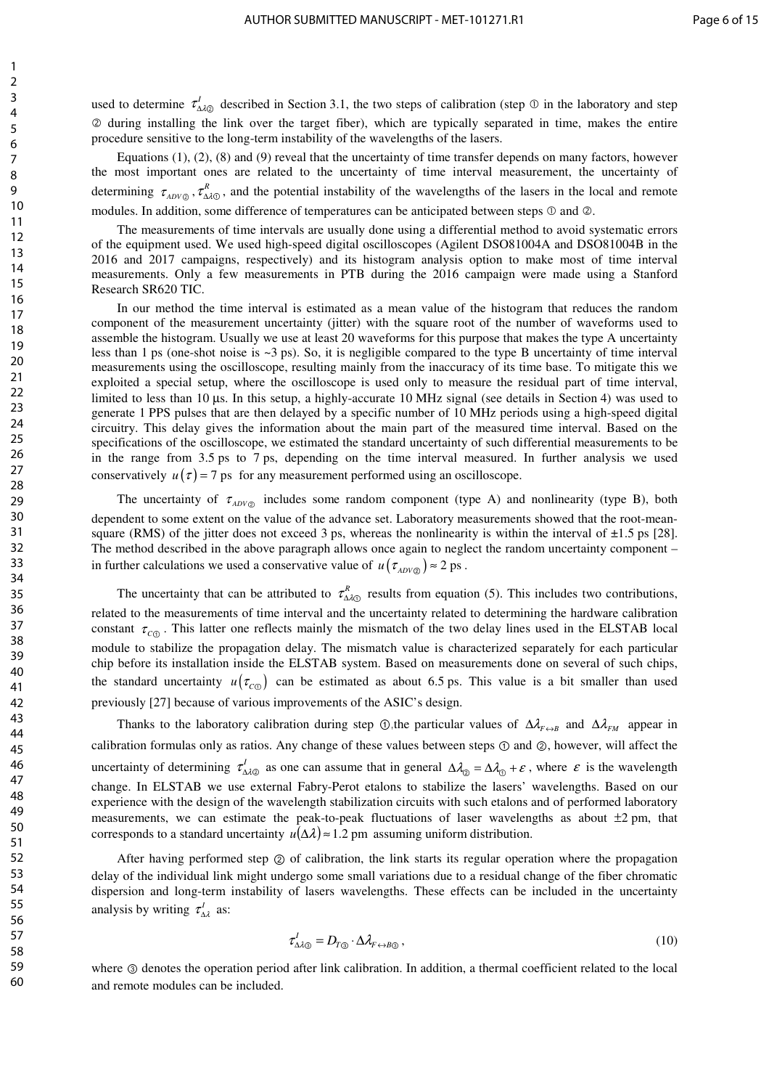used to determine  $\tau_{\Delta\lambda\otimes}^I$  described in Section 3.1, the two steps of calibration (step  $\otimes$  in the laboratory and step Ђ during installing the link over the target fiber), which are typically separated in time, makes the entire procedure sensitive to the long-term instability of the wavelengths of the lasers.

Equations (1), (2), (8) and (9) reveal that the uncertainty of time transfer depends on many factors, however the most important ones are related to the uncertainty of time interval measurement, the uncertainty of determining  $\tau_{ADV\odot}$ ,  $\tau_{\Delta\lambda\odot}^R$ , and the potential instability of the wavelengths of the lasers in the local and remote modules. In addition, some difference of temperatures can be anticipated between steps  $\mathcal D$  and  $\mathcal Q$ .

The measurements of time intervals are usually done using a differential method to avoid systematic errors of the equipment used. We used high-speed digital oscilloscopes (Agilent DSO81004A and DSO81004B in the 2016 and 2017 campaigns, respectively) and its histogram analysis option to make most of time interval measurements. Only a few measurements in PTB during the 2016 campaign were made using a Stanford Research SR620 TIC.

In our method the time interval is estimated as a mean value of the histogram that reduces the random component of the measurement uncertainty (jitter) with the square root of the number of waveforms used to assemble the histogram. Usually we use at least 20 waveforms for this purpose that makes the type A uncertainty less than 1 ps (one-shot noise is  $\sim$ 3 ps). So, it is negligible compared to the type B uncertainty of time interval measurements using the oscilloscope, resulting mainly from the inaccuracy of its time base. To mitigate this we exploited a special setup, where the oscilloscope is used only to measure the residual part of time interval, limited to less than 10 µs. In this setup, a highly-accurate 10 MHz signal (see details in Section 4) was used to generate 1 PPS pulses that are then delayed by a specific number of 10 MHz periods using a high-speed digital circuitry. This delay gives the information about the main part of the measured time interval. Based on the specifications of the oscilloscope, we estimated the standard uncertainty of such differential measurements to be in the range from 3.5 ps to 7 ps, depending on the time interval measured. In further analysis we used conservatively  $u(\tau) = 7$  ps for any measurement performed using an oscilloscope.

The uncertainty of  $\tau_{ADV\odot}$  includes some random component (type A) and nonlinearity (type B), both dependent to some extent on the value of the advance set. Laboratory measurements showed that the root-meansquare (RMS) of the jitter does not exceed 3 ps, whereas the nonlinearity is within the interval of  $\pm 1.5$  ps [28]. The method described in the above paragraph allows once again to neglect the random uncertainty component – in further calculations we used a conservative value of  $u(\tau_{ADV\Omega}) \approx 2 \text{ ps}$ .

The uncertainty that can be attributed to  $\tau_{\Delta\lambda\odot}^R$  results from equation (5). This includes two contributions, related to the measurements of time interval and the uncertainty related to determining the hardware calibration constant  $\tau_{\rm c0}$ . This latter one reflects mainly the mismatch of the two delay lines used in the ELSTAB local module to stabilize the propagation delay. The mismatch value is characterized separately for each particular chip before its installation inside the ELSTAB system. Based on measurements done on several of such chips, the standard uncertainty  $u(\tau_{C_0})$  can be estimated as about 6.5 ps. This value is a bit smaller than used previously [27] because of various improvements of the ASIC's design.

Thanks to the laboratory calibration during step ①,the particular values of  $\Delta \lambda_{F \leftrightarrow B}$  and  $\Delta \lambda_{F \land B}$  appear in calibration formulas only as ratios. Any change of these values between steps ① and ②, however, will affect the uncertainty of determining  $\tau_{\Delta\lambda\otimes}^l$  as one can assume that in general  $\Delta\lambda_\otimes = \Delta\lambda_\otimes + \varepsilon$ , where  $\varepsilon$  is the wavelength change. In ELSTAB we use external Fabry-Perot etalons to stabilize the lasers' wavelengths. Based on our experience with the design of the wavelength stabilization circuits with such etalons and of performed laboratory measurements, we can estimate the peak-to-peak fluctuations of laser wavelengths as about  $\pm 2$  pm, that corresponds to a standard uncertainty  $u(\Delta \lambda) \approx 1.2$  pm assuming uniform distribution.

After having performed step ② of calibration, the link starts its regular operation where the propagation delay of the individual link might undergo some small variations due to a residual change of the fiber chromatic dispersion and long-term instability of lasers wavelengths. These effects can be included in the uncertainty analysis by writing  $\tau_{\Delta \lambda}^I$  as:

$$
\tau_{\Delta\lambda\otimes}^I = D_{T\otimes} \cdot \Delta \lambda_{F \leftrightarrow B\otimes} \,, \tag{10}
$$

where ③ denotes the operation period after link calibration. In addition, a thermal coefficient related to the local and remote modules can be included.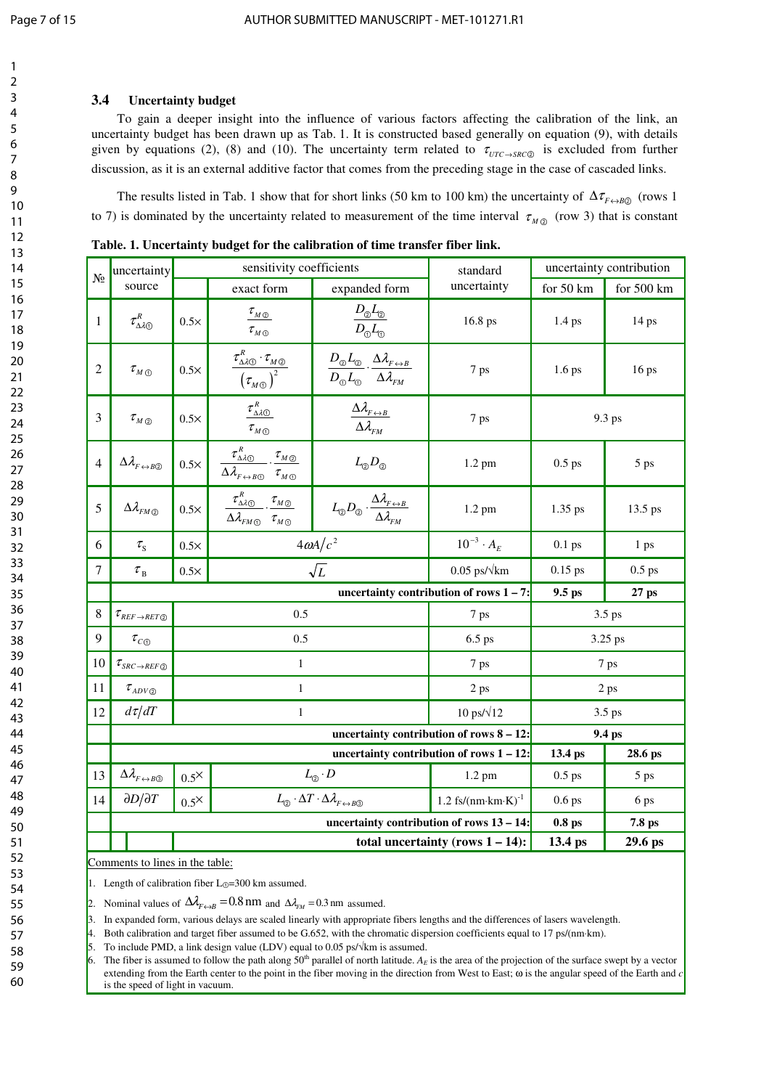# **3.4 Uncertainty budget**

To gain a deeper insight into the influence of various factors affecting the calibration of the link, an uncertainty budget has been drawn up as Tab. 1. It is constructed based generally on equation (9), with details given by equations (2), (8) and (10). The uncertainty term related to  $\tau_{UTC \to SRC}$  is excluded from further discussion, as it is an external additive factor that comes from the preceding stage in the case of cascaded links.

The results listed in Tab. 1 show that for short links (50 km to 100 km) the uncertainty of  $\Delta \tau_{F \leftrightarrow RQ}$  (rows 1 to 7) is dominated by the uncertainty related to measurement of the time interval  $\tau_{MQ}$  (row 3) that is constant

| N <sub>2</sub> | uncertainty                                                    | sensitivity coefficients                                                 |                                                                                                                                                                                                               |                                                                                                                                                                                                                 | standard                                    | uncertainty contribution |            |
|----------------|----------------------------------------------------------------|--------------------------------------------------------------------------|---------------------------------------------------------------------------------------------------------------------------------------------------------------------------------------------------------------|-----------------------------------------------------------------------------------------------------------------------------------------------------------------------------------------------------------------|---------------------------------------------|--------------------------|------------|
|                | source                                                         |                                                                          | exact form                                                                                                                                                                                                    | expanded form                                                                                                                                                                                                   | uncertainty                                 | for 50 km                | for 500 km |
| $\mathbf{1}$   | $\tau_{\Delta\lambda\odot}^{_R}$                               | $0.5\times$                                                              | $\tau_{_M\oslash}$<br>$\tau_{_M\odot}$                                                                                                                                                                        | $D_{\textcircled{\tiny 2}}L_{\textcircled{\tiny 2}}$<br>$D_\odot L_\odot$                                                                                                                                       | 16.8 ps                                     | 1.4 <sub>ps</sub>        | $14$ ps    |
| $\overline{2}$ | $\tau$ <sub>M</sub> $_{\odot}$                                 | $0.5\times$                                                              | $\frac{\tau_{_{\Delta\lambda\text{O}}}^{_R}\cdot\tau_{_{M\text{O}}}}{\left(\tau_{_{M\text{O}}}\right)^2}$                                                                                                     | $\frac{D_{\textcircled{\tiny 2}}L_{\textcircled{\tiny 3}}}{D_{\textcircled{\tiny 3}}L_{\textcircled{\tiny 3}}}\cdot\frac{\Delta\lambda_{\text{\tiny $F\leftrightarrow B$}}}{\Delta\lambda_{\text{\tiny $FM$}}}$ | 7 ps                                        | 1.6 <sub>ps</sub>        | 16 ps      |
| 3              | $\tau_{M\textcircled{\tiny 2}}$                                | $0.5\times$                                                              | $\tau^{\scriptscriptstyle {R}}_{\scriptscriptstyle \Delta\lambda\rm{\scriptscriptstyle (I)}}$<br>$\tau_{M\,\odot}$                                                                                            | $\Delta\lambda_{F\leftrightarrow B}$<br>$\Delta \lambda_{\scriptscriptstyle FM}$                                                                                                                                | 7 ps                                        | 9.3 ps                   |            |
| $\overline{4}$ | $\Delta\lambda_{\scriptscriptstyle F\leftrightarrow B\oslash}$ | $0.5\times$                                                              | $\tau^{\scriptscriptstyle R}_{\scriptscriptstyle \Delta\lambda\rm \scriptscriptstyle (0)}$<br>$\tau_{_M \underline{\odot}}$<br>$\Delta \lambda_{F\leftrightarrow B\textcircled{1}}$ $\tau_{M\textcircled{1}}$ | $L_{\odot}D_{\odot}$                                                                                                                                                                                            | 1.2 pm                                      | $0.5$ ps                 | 5 ps       |
| 5              | $\Delta\lambda_{\rm FM\oslash}$                                | $0.5\times$                                                              | $\frac{\tau_{\Delta\lambda\odot}^{\cal R}}{\sim}$ . $\frac{\tau_{_M\odot}}{\sim}$<br>$\overline{\Delta\lambda}_{\rm FM\odot}$ $\tau_{\rm M\odot}$                                                             | $L_{\text{\textcircled{\tiny \#}}} D_{\text{\textcircled{\tiny \#}}}\cdot \frac{\Delta \lambda_{{\scriptscriptstyle F}\leftrightarrow{\scriptscriptstyle B}}}{\Delta \lambda_{{\scriptscriptstyle F} M}}$       | $1.2 \text{ pm}$                            | $1.35$ ps                | $13.5$ ps  |
| 6              | $\tau_{\rm s}$                                                 | $0.5\times$                                                              | $4\omega A/c^2$                                                                                                                                                                                               |                                                                                                                                                                                                                 | $10^{-3} \cdot A_{E}$                       | $0.1$ ps                 | 1 ps       |
| 7              | $\tau_{\textrm{\tiny B}}$                                      | $0.5\times$                                                              | $\sqrt{L}$                                                                                                                                                                                                    |                                                                                                                                                                                                                 | $0.05$ ps/ $\sqrt{\text{km}}$               | $0.15$ ps                | $0.5$ ps   |
|                |                                                                |                                                                          |                                                                                                                                                                                                               |                                                                                                                                                                                                                 | uncertainty contribution of rows $1 - 7$ :  | 9.5 ps                   | 27 ps      |
| 8              | $\tau_{\scriptscriptstyle{REF\rightarrow RET@}}$               | 0.5                                                                      |                                                                                                                                                                                                               |                                                                                                                                                                                                                 | 7 ps                                        | 3.5 ps                   |            |
| 9              | $\tau_{c\odot}$                                                | 0.5                                                                      |                                                                                                                                                                                                               |                                                                                                                                                                                                                 | 6.5 ps                                      | 3.25 ps                  |            |
| 10             | $\tau_{\scriptscriptstyle SRC \to REF\mathcal{D}}$             | $\mathbf{1}$                                                             |                                                                                                                                                                                                               |                                                                                                                                                                                                                 | 7 ps                                        | 7 ps                     |            |
| 11             | $\tau_{\scriptscriptstyle ADV\mathbin{\mathbb Q}}$             | $\mathbf{1}$                                                             |                                                                                                                                                                                                               |                                                                                                                                                                                                                 | 2 ps                                        | 2 <sub>ps</sub>          |            |
| 12             | $d\tau/dT$                                                     | $\mathbf{1}$                                                             |                                                                                                                                                                                                               |                                                                                                                                                                                                                 | 10 ps/ $\sqrt{12}$                          | 3.5 ps                   |            |
|                |                                                                |                                                                          |                                                                                                                                                                                                               | 9.4 ps                                                                                                                                                                                                          |                                             |                          |            |
|                |                                                                |                                                                          |                                                                                                                                                                                                               |                                                                                                                                                                                                                 | uncertainty contribution of rows $1 - 12$ : | 13.4 ps                  | 28.6 ps    |
| 13             | $\Delta\lambda_{F\leftrightarrow B\textcircled{3}}$            | $0.5^{\times}$                                                           | $L_{\odot} \cdot D$                                                                                                                                                                                           |                                                                                                                                                                                                                 | $1.2$ pm                                    | $0.5$ ps                 | 5 ps       |
| 14             | $\partial D/\partial T$                                        | $0.5^{\times}$                                                           | $L_{\odot} \cdot \Delta T \cdot \Delta \lambda_{F \leftrightarrow B\odot}$                                                                                                                                    |                                                                                                                                                                                                                 | 1.2 $fs/(nm \cdot km \cdot K)^{-1}$         | $0.6$ ps                 | 6 ps       |
|                |                                                                | uncertainty contribution of rows 13 - 14:<br>0.8 <sub>ps</sub><br>7.8 ps |                                                                                                                                                                                                               |                                                                                                                                                                                                                 |                                             |                          |            |
|                |                                                                | total uncertainty (rows $1 - 14$ ):                                      |                                                                                                                                                                                                               |                                                                                                                                                                                                                 |                                             | 13.4 ps                  | 29.6 ps    |

**Table. 1. Uncertainty budget for the calibration of time transfer fiber link.** 

Comments to lines in the table:

Length of calibration fiber  $L_0$ =300 km assumed.

Nominal values of  $\Delta \lambda_{F \leftrightarrow B} = 0.8$  nm and  $\Delta \lambda_{FM} = 0.3$  nm assumed.

3. In expanded form, various delays are scaled linearly with appropriate fibers lengths and the differences of lasers wavelength.

4. Both calibration and target fiber assumed to be G.652, with the chromatic dispersion coefficients equal to 17 ps/(nm⋅km).

To include PMD, a link design value (LDV) equal to 0.05 ps/ $\sqrt{k}$ m is assumed.

The fiber is assumed to follow the path along  $50<sup>th</sup>$  parallel of north latitude.  $A<sub>E</sub>$  is the area of the projection of the surface swept by a vector extending from the Earth center to the point in the fiber moving in the direction from West to East; ω is the angular speed of the Earth and *c* is the speed of light in vacuum.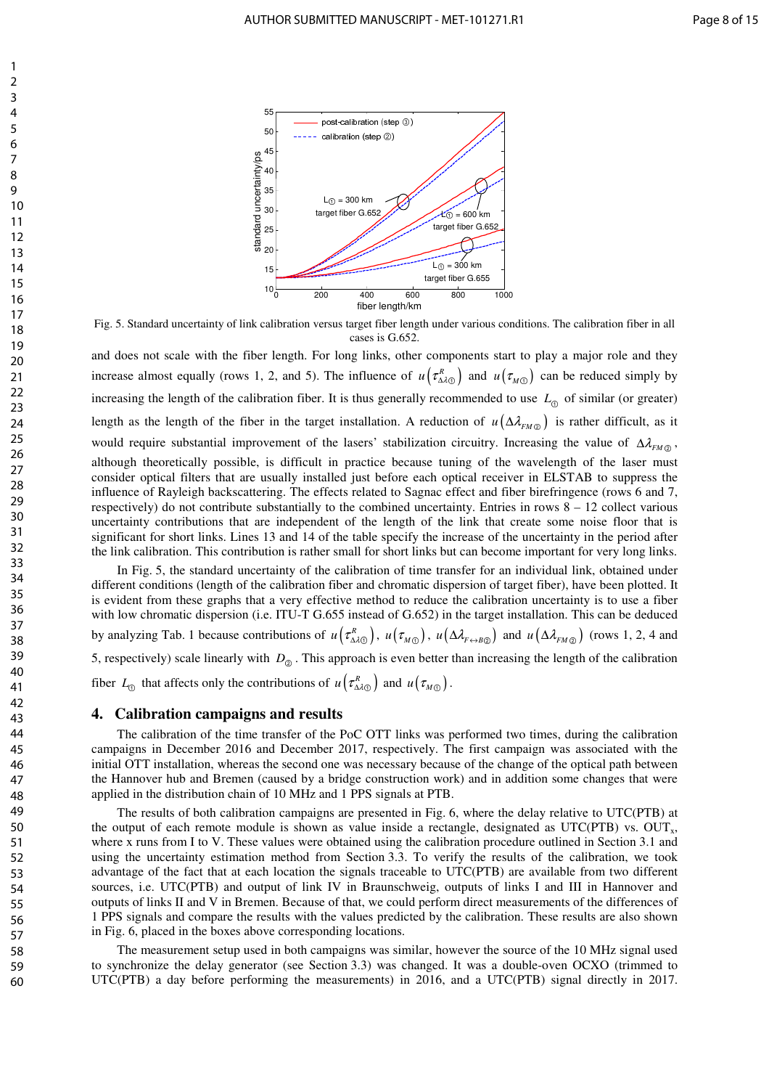

Fig. 5. Standard uncertainty of link calibration versus target fiber length under various conditions. The calibration fiber in all cases is G.652.

and does not scale with the fiber length. For long links, other components start to play a major role and they increase almost equally (rows 1, 2, and 5). The influence of  $u(\tau_{A\lambda\odot}^R)$  and  $u(\tau_{M\odot})$  can be reduced simply by increasing the length of the calibration fiber. It is thus generally recommended to use  $L_{\odot}$  of similar (or greater) length as the length of the fiber in the target installation. A reduction of  $u(\Delta \lambda_{FMQ})$  is rather difficult, as it would require substantial improvement of the lasers' stabilization circuitry. Increasing the value of Δλ<sub>*FM*</sub><sub>②</sub>, although theoretically possible, is difficult in practice because tuning of the wavelength of the laser must consider optical filters that are usually installed just before each optical receiver in ELSTAB to suppress the influence of Rayleigh backscattering. The effects related to Sagnac effect and fiber birefringence (rows 6 and 7, respectively) do not contribute substantially to the combined uncertainty. Entries in rows  $8 - 12$  collect various uncertainty contributions that are independent of the length of the link that create some noise floor that is significant for short links. Lines 13 and 14 of the table specify the increase of the uncertainty in the period after the link calibration. This contribution is rather small for short links but can become important for very long links.

In Fig. 5, the standard uncertainty of the calibration of time transfer for an individual link, obtained under different conditions (length of the calibration fiber and chromatic dispersion of target fiber), have been plotted. It is evident from these graphs that a very effective method to reduce the calibration uncertainty is to use a fiber with low chromatic dispersion (i.e. ITU-T G.655 instead of G.652) in the target installation. This can be deduced by analyzing Tab. 1 because contributions of  $u(\tau_{\Delta\lambda_{\mathbb{Q}}}^R)$ ,  $u(\tau_{M\odot})$ ,  $u(\Delta\lambda_{F\leftrightarrow B\odot})$  and  $u(\Delta\lambda_{F\land\mathbb{Q}})$  (rows 1, 2, 4 and 5, respectively) scale linearly with  $D_{\odot}$ . This approach is even better than increasing the length of the calibration fiber  $L_{\odot}$  that affects only the contributions of  $u\left(\tau_{\Delta\lambda\odot}^{R}\right)$  and  $u\left(\tau_{M\odot}\right)$ .

# **4. Calibration campaigns and results**

The calibration of the time transfer of the PoC OTT links was performed two times, during the calibration campaigns in December 2016 and December 2017, respectively. The first campaign was associated with the initial OTT installation, whereas the second one was necessary because of the change of the optical path between the Hannover hub and Bremen (caused by a bridge construction work) and in addition some changes that were applied in the distribution chain of 10 MHz and 1 PPS signals at PTB.

The results of both calibration campaigns are presented in Fig. 6, where the delay relative to UTC(PTB) at the output of each remote module is shown as value inside a rectangle, designated as  $UTC(PTB)$  vs.  $OUT<sub>x</sub>$ , where x runs from I to V. These values were obtained using the calibration procedure outlined in Section 3.1 and using the uncertainty estimation method from Section 3.3. To verify the results of the calibration, we took advantage of the fact that at each location the signals traceable to UTC(PTB) are available from two different sources, i.e. UTC(PTB) and output of link IV in Braunschweig, outputs of links I and III in Hannover and outputs of links II and V in Bremen. Because of that, we could perform direct measurements of the differences of 1 PPS signals and compare the results with the values predicted by the calibration. These results are also shown in Fig. 6, placed in the boxes above corresponding locations.

The measurement setup used in both campaigns was similar, however the source of the 10 MHz signal used to synchronize the delay generator (see Section 3.3) was changed. It was a double-oven OCXO (trimmed to UTC(PTB) a day before performing the measurements) in 2016, and a UTC(PTB) signal directly in 2017.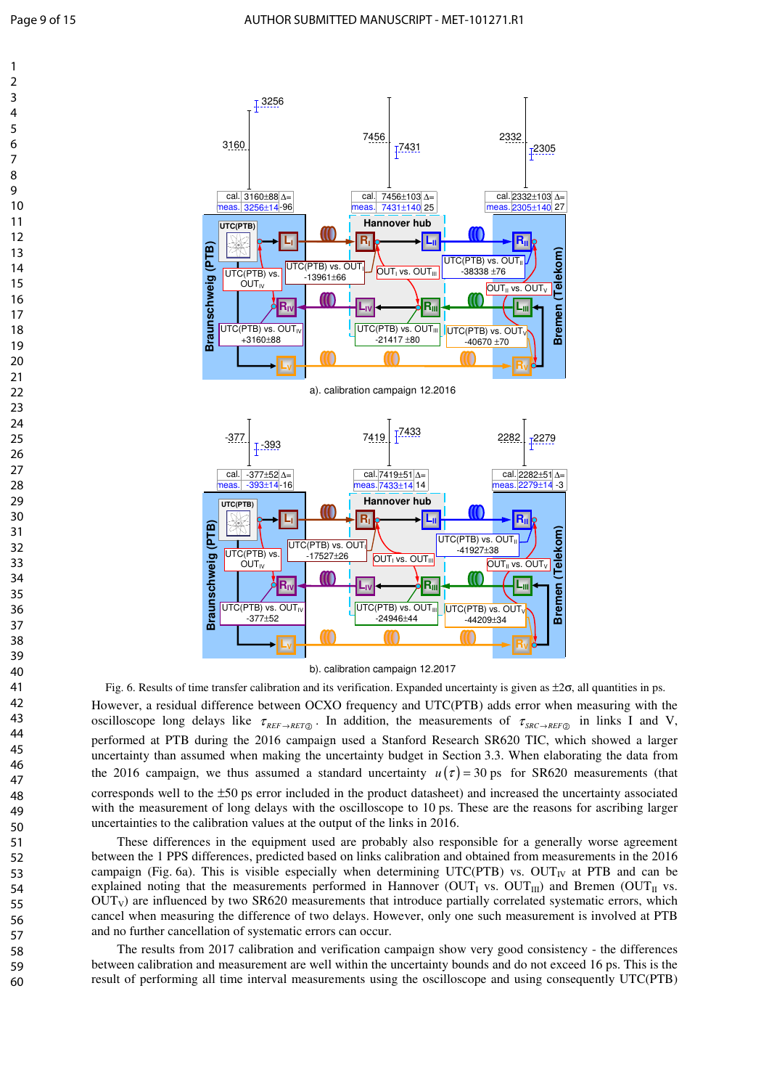



However, a residual difference between OCXO frequency and UTC(PTB) adds error when measuring with the oscilloscope long delays like  $\tau_{REF\rightarrow RET}$ . In addition, the measurements of  $\tau_{SRC\rightarrow REF}$  in links I and V, performed at PTB during the 2016 campaign used a Stanford Research SR620 TIC, which showed a larger uncertainty than assumed when making the uncertainty budget in Section 3.3. When elaborating the data from the 2016 campaign, we thus assumed a standard uncertainty  $u(\tau) = 30$  ps for SR620 measurements (that corresponds well to the  $\pm 50$  ps error included in the product datasheet) and increased the uncertainty associated with the measurement of long delays with the oscilloscope to 10 ps. These are the reasons for ascribing larger uncertainties to the calibration values at the output of the links in 2016. Fig. 6. Results of time transfer calibration and its verification. Expanded uncertainty is given as  $\pm 2\sigma$ , all quantities in ps.

These differences in the equipment used are probably also responsible for a generally worse agreement between the 1 PPS differences, predicted based on links calibration and obtained from measurements in the 2016 campaign (Fig. 6a). This is visible especially when determining UTC(PTB) vs. OUT<sub>IV</sub> at PTB and can be explained noting that the measurements performed in Hannover  $(OUT_I \text{ vs. } OUT_{III})$  and Bremen  $(OUT_{II} \text{ vs. } I_{III})$  $\text{OUT}_V$ ) are influenced by two SR620 measurements that introduce partially correlated systematic errors, which cancel when measuring the difference of two delays. However, only one such measurement is involved at PTB and no further cancellation of systematic errors can occur.

The results from 2017 calibration and verification campaign show very good consistency - the differences between calibration and measurement are well within the uncertainty bounds and do not exceed 16 ps. This is the result of performing all time interval measurements using the oscilloscope and using consequently UTC(PTB)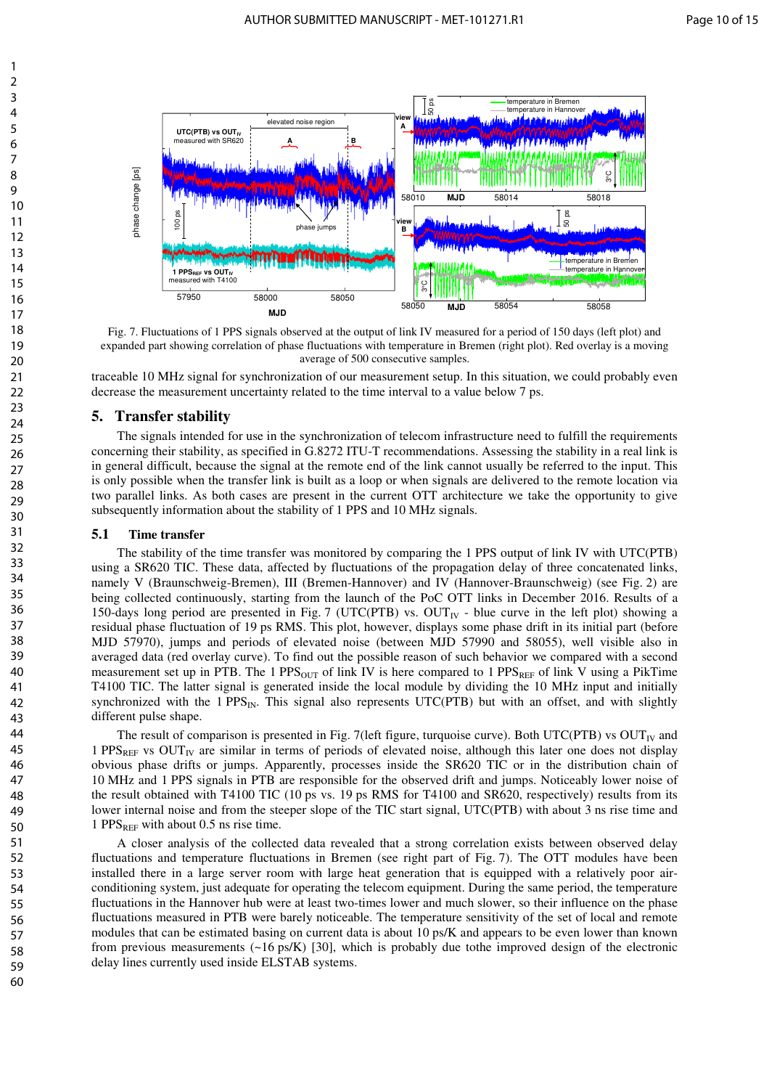

Fig. 7. Fluctuations of 1 PPS signals observed at the output of link IV measured for a period of 150 days (left plot) and expanded part showing correlation of phase fluctuations with temperature in Bremen (right plot). Red overlay is a moving average of 500 consecutive samples.

traceable 10 MHz signal for synchronization of our measurement setup. In this situation, we could probably even decrease the measurement uncertainty related to the time interval to a value below 7 ps.

# **5. Transfer stability**

The signals intended for use in the synchronization of telecom infrastructure need to fulfill the requirements concerning their stability, as specified in G.8272 ITU-T recommendations. Assessing the stability in a real link is in general difficult, because the signal at the remote end of the link cannot usually be referred to the input. This is only possible when the transfer link is built as a loop or when signals are delivered to the remote location via two parallel links. As both cases are present in the current OTT architecture we take the opportunity to give subsequently information about the stability of 1 PPS and 10 MHz signals.

### **5.1 Time transfer**

The stability of the time transfer was monitored by comparing the 1 PPS output of link IV with UTC(PTB) using a SR620 TIC. These data, affected by fluctuations of the propagation delay of three concatenated links, namely V (Braunschweig-Bremen), III (Bremen-Hannover) and IV (Hannover-Braunschweig) (see Fig. 2) are being collected continuously, starting from the launch of the PoC OTT links in December 2016. Results of a 150-days long period are presented in Fig. 7 (UTC(PTB) vs.  $OUT<sub>IV</sub>$  - blue curve in the left plot) showing a residual phase fluctuation of 19 ps RMS. This plot, however, displays some phase drift in its initial part (before MJD 57970), jumps and periods of elevated noise (between MJD 57990 and 58055), well visible also in averaged data (red overlay curve). To find out the possible reason of such behavior we compared with a second measurement set up in PTB. The 1 PPS<sub>OUT</sub> of link IV is here compared to 1 PPS<sub>REF</sub> of link V using a PikTime T4100 TIC. The latter signal is generated inside the local module by dividing the 10 MHz input and initially synchronized with the 1  $PPS_{IN}$ . This signal also represents UTC(PTB) but with an offset, and with slightly different pulse shape.

The result of comparison is presented in Fig. 7(left figure, turquoise curve). Both UTC(PTB) vs  $OUT<sub>IV</sub>$  and  $1$  PPS<sub>REF</sub> vs OUT<sub>IV</sub> are similar in terms of periods of elevated noise, although this later one does not display obvious phase drifts or jumps. Apparently, processes inside the SR620 TIC or in the distribution chain of 10 MHz and 1 PPS signals in PTB are responsible for the observed drift and jumps. Noticeably lower noise of the result obtained with T4100 TIC (10 ps vs. 19 ps RMS for T4100 and SR620, respectively) results from its lower internal noise and from the steeper slope of the TIC start signal, UTC(PTB) with about 3 ns rise time and 1 PPS $_{REF}$  with about 0.5 ns rise time.

A closer analysis of the collected data revealed that a strong correlation exists between observed delay fluctuations and temperature fluctuations in Bremen (see right part of Fig. 7). The OTT modules have been installed there in a large server room with large heat generation that is equipped with a relatively poor airconditioning system, just adequate for operating the telecom equipment. During the same period, the temperature fluctuations in the Hannover hub were at least two-times lower and much slower, so their influence on the phase fluctuations measured in PTB were barely noticeable. The temperature sensitivity of the set of local and remote modules that can be estimated basing on current data is about 10 ps/K and appears to be even lower than known from previous measurements (~16 ps/K) [30], which is probably due tothe improved design of the electronic delay lines currently used inside ELSTAB systems.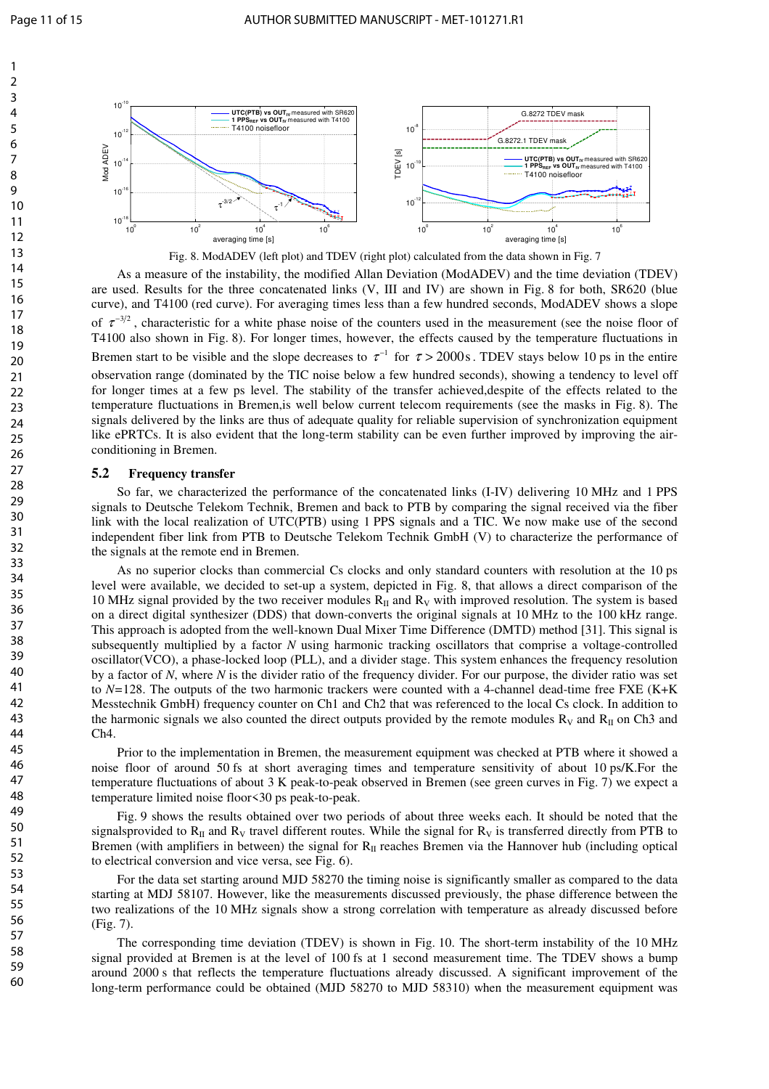



Fig. 8. ModADEV (left plot) and TDEV (right plot) calculated from the data shown in Fig. 7

As a measure of the instability, the modified Allan Deviation (ModADEV) and the time deviation (TDEV) are used. Results for the three concatenated links (V, III and IV) are shown in Fig. 8 for both, SR620 (blue curve), and T4100 (red curve). For averaging times less than a few hundred seconds, ModADEV shows a slope of  $\tau^{-3/2}$ , characteristic for a white phase noise of the counters used in the measurement (see the noise floor of T4100 also shown in Fig. 8). For longer times, however, the effects caused by the temperature fluctuations in Bremen start to be visible and the slope decreases to  $\tau^{-1}$  for  $\tau > 2000$  s. TDEV stays below 10 ps in the entire observation range (dominated by the TIC noise below a few hundred seconds), showing a tendency to level off for longer times at a few ps level. The stability of the transfer achieved,despite of the effects related to the temperature fluctuations in Bremen,is well below current telecom requirements (see the masks in Fig. 8). The signals delivered by the links are thus of adequate quality for reliable supervision of synchronization equipment like ePRTCs. It is also evident that the long-term stability can be even further improved by improving the airconditioning in Bremen.

## **5.2 Frequency transfer**

So far, we characterized the performance of the concatenated links (I-IV) delivering 10 MHz and 1 PPS signals to Deutsche Telekom Technik, Bremen and back to PTB by comparing the signal received via the fiber link with the local realization of UTC(PTB) using 1 PPS signals and a TIC. We now make use of the second independent fiber link from PTB to Deutsche Telekom Technik GmbH (V) to characterize the performance of the signals at the remote end in Bremen.

As no superior clocks than commercial Cs clocks and only standard counters with resolution at the 10 ps level were available, we decided to set-up a system, depicted in Fig. 8, that allows a direct comparison of the 10 MHz signal provided by the two receiver modules  $R_{II}$  and  $R_{V}$  with improved resolution. The system is based on a direct digital synthesizer (DDS) that down-converts the original signals at 10 MHz to the 100 kHz range. This approach is adopted from the well-known Dual Mixer Time Difference (DMTD) method [31]. This signal is subsequently multiplied by a factor *N* using harmonic tracking oscillators that comprise a voltage-controlled oscillator(VCO), a phase-locked loop (PLL), and a divider stage. This system enhances the frequency resolution by a factor of *N*, where *N* is the divider ratio of the frequency divider. For our purpose, the divider ratio was set to *N=*128. The outputs of the two harmonic trackers were counted with a 4-channel dead-time free FXE (K+K Messtechnik GmbH) frequency counter on Ch1 and Ch2 that was referenced to the local Cs clock. In addition to the harmonic signals we also counted the direct outputs provided by the remote modules  $R_V$  and  $R<sub>II</sub>$  on Ch3 and Ch4.

Prior to the implementation in Bremen, the measurement equipment was checked at PTB where it showed a noise floor of around 50 fs at short averaging times and temperature sensitivity of about 10 ps/K.For the temperature fluctuations of about 3 K peak-to-peak observed in Bremen (see green curves in Fig. 7) we expect a temperature limited noise floor<30 ps peak-to-peak.

Fig. 9 shows the results obtained over two periods of about three weeks each. It should be noted that the signalsprovided to  $R_{\text{II}}$  and  $R_{\text{V}}$  travel different routes. While the signal for  $R_{\text{V}}$  is transferred directly from PTB to Bremen (with amplifiers in between) the signal for  $R<sub>II</sub>$  reaches Bremen via the Hannover hub (including optical to electrical conversion and vice versa, see Fig. 6).

For the data set starting around MJD 58270 the timing noise is significantly smaller as compared to the data starting at MDJ 58107. However, like the measurements discussed previously, the phase difference between the two realizations of the 10 MHz signals show a strong correlation with temperature as already discussed before (Fig. 7).

The corresponding time deviation (TDEV) is shown in Fig. 10. The short-term instability of the 10 MHz signal provided at Bremen is at the level of 100 fs at 1 second measurement time. The TDEV shows a bump around 2000 s that reflects the temperature fluctuations already discussed. A significant improvement of the long-term performance could be obtained (MJD 58270 to MJD 58310) when the measurement equipment was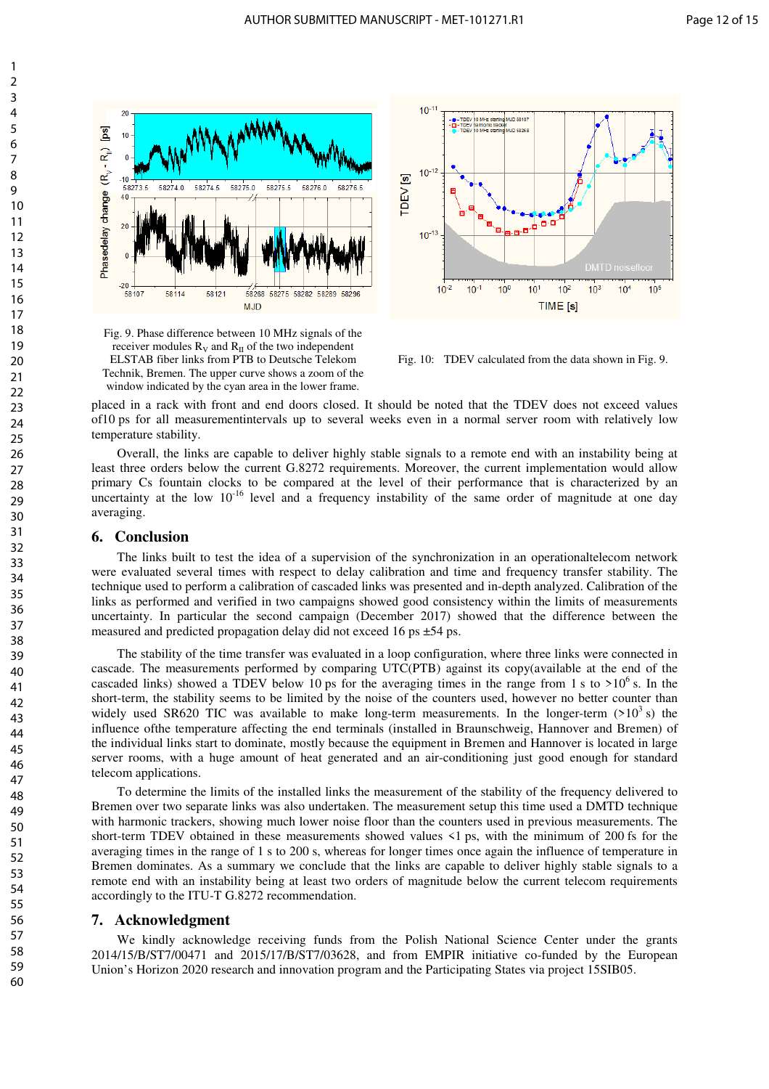

Fig. 9. Phase difference between 10 MHz signals of the receiver modules  $R_V$  and  $R_H$  of the two independent ELSTAB fiber links from PTB to Deutsche Telekom Technik, Bremen. The upper curve shows a zoom of the window indicated by the cyan area in the lower frame.



Fig. 10: TDEV calculated from the data shown in Fig. 9.

placed in a rack with front and end doors closed. It should be noted that the TDEV does not exceed values of10 ps for all measurementintervals up to several weeks even in a normal server room with relatively low temperature stability.

Overall, the links are capable to deliver highly stable signals to a remote end with an instability being at least three orders below the current G.8272 requirements. Moreover, the current implementation would allow primary Cs fountain clocks to be compared at the level of their performance that is characterized by an uncertainty at the low  $10^{-16}$  level and a frequency instability of the same order of magnitude at one day averaging.

## **6. Conclusion**

The links built to test the idea of a supervision of the synchronization in an operationaltelecom network were evaluated several times with respect to delay calibration and time and frequency transfer stability. The technique used to perform a calibration of cascaded links was presented and in-depth analyzed. Calibration of the links as performed and verified in two campaigns showed good consistency within the limits of measurements uncertainty. In particular the second campaign (December 2017) showed that the difference between the measured and predicted propagation delay did not exceed 16 ps  $\pm$ 54 ps.

The stability of the time transfer was evaluated in a loop configuration, where three links were connected in cascade. The measurements performed by comparing UTC(PTB) against its copy(available at the end of the cascaded links) showed a TDEV below 10 ps for the averaging times in the range from 1 s to  $>10^6$  s. In the short-term, the stability seems to be limited by the noise of the counters used, however no better counter than widely used SR620 TIC was available to make long-term measurements. In the longer-term  $(>10^3 s)$  the influence ofthe temperature affecting the end terminals (installed in Braunschweig, Hannover and Bremen) of the individual links start to dominate, mostly because the equipment in Bremen and Hannover is located in large server rooms, with a huge amount of heat generated and an air-conditioning just good enough for standard telecom applications.

To determine the limits of the installed links the measurement of the stability of the frequency delivered to Bremen over two separate links was also undertaken. The measurement setup this time used a DMTD technique with harmonic trackers, showing much lower noise floor than the counters used in previous measurements. The short-term TDEV obtained in these measurements showed values <1 ps, with the minimum of 200 fs for the averaging times in the range of 1 s to 200 s, whereas for longer times once again the influence of temperature in Bremen dominates. As a summary we conclude that the links are capable to deliver highly stable signals to a remote end with an instability being at least two orders of magnitude below the current telecom requirements accordingly to the ITU-T G.8272 recommendation.

#### **7. Acknowledgment**

We kindly acknowledge receiving funds from the Polish National Science Center under the grants 2014/15/B/ST7/00471 and 2015/17/B/ST7/03628, and from EMPIR initiative co-funded by the European Union's Horizon 2020 research and innovation program and the Participating States via project 15SIB05.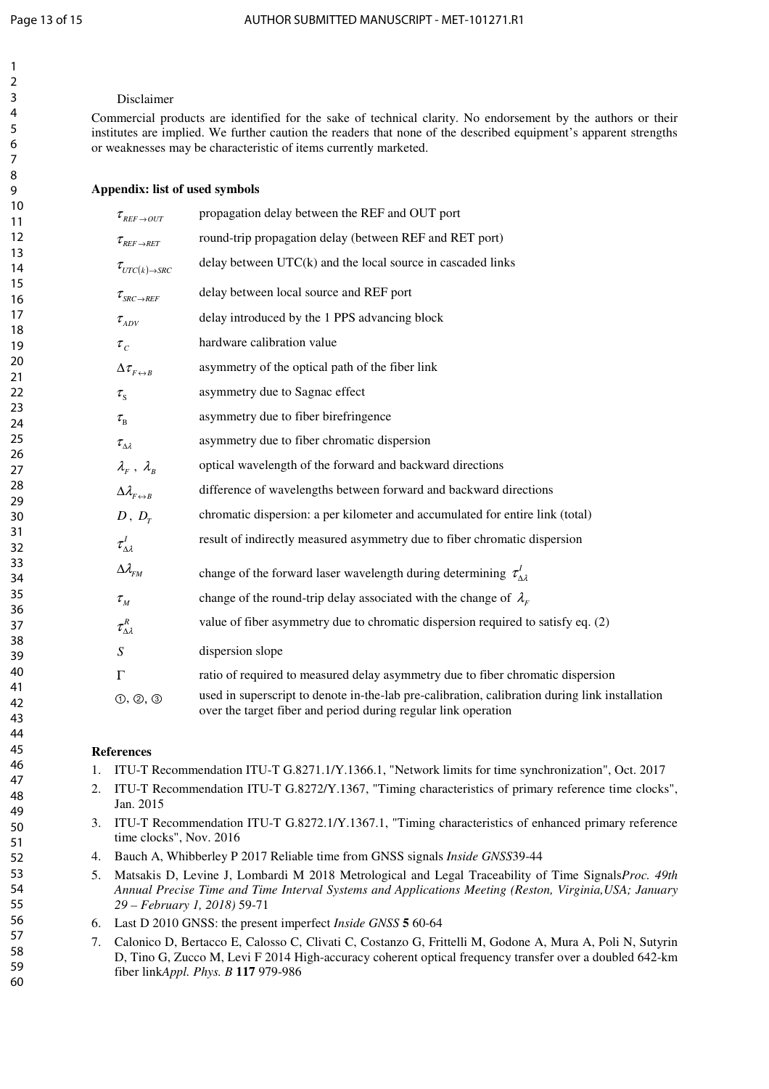## Disclaimer

Commercial products are identified for the sake of technical clarity. No endorsement by the authors or their institutes are implied. We further caution the readers that none of the described equipment's apparent strengths or weaknesses may be characteristic of items currently marketed.

# **Appendix: list of used symbols**

| $\tau_{\scriptscriptstyle{REF\to OUT}}$                             | propagation delay between the REF and OUT port                                                                                                                   |
|---------------------------------------------------------------------|------------------------------------------------------------------------------------------------------------------------------------------------------------------|
| $\tau_{\scriptscriptstyle{REF\rightarrow\scriptscriptstyle{RET}}}$  | round-trip propagation delay (between REF and RET port)                                                                                                          |
| $\tau_{\text{UTC}(k) \rightarrow \text{SRC}}$                       | delay between $UTC(k)$ and the local source in cascaded links                                                                                                    |
| $\tau_{\scriptscriptstyle SRC \rightarrow REF}$                     | delay between local source and REF port                                                                                                                          |
| $\tau_{ADV}$                                                        | delay introduced by the 1 PPS advancing block                                                                                                                    |
| $\tau_c$                                                            | hardware calibration value                                                                                                                                       |
| $\Delta\tau_{F\leftrightarrow B}$                                   | asymmetry of the optical path of the fiber link                                                                                                                  |
| $\tau_{\rm s}$                                                      | asymmetry due to Sagnac effect                                                                                                                                   |
| $\tau_{\textrm{\tiny R}}$                                           | asymmetry due to fiber birefringence                                                                                                                             |
| $\tau_{\Delta \lambda}$                                             | asymmetry due to fiber chromatic dispersion                                                                                                                      |
| $\lambda_F^{\phantom{\dagger}}$ , $\lambda_B^{\phantom{\dagger}}$   | optical wavelength of the forward and backward directions                                                                                                        |
| $\Delta \lambda_{F \leftrightarrow B}$                              | difference of wavelengths between forward and backward directions                                                                                                |
| D, D <sub>r</sub>                                                   | chromatic dispersion: a per kilometer and accumulated for entire link (total)                                                                                    |
| $\tau^I_{\Delta \lambda}$                                           | result of indirectly measured asymmetry due to fiber chromatic dispersion                                                                                        |
| $\Delta\lambda_{\rm FM}$                                            | change of the forward laser wavelength during determining $\tau'_{\Lambda\lambda}$                                                                               |
| $\tau_{\scriptscriptstyle M}$                                       | change of the round-trip delay associated with the change of $\lambda_F$                                                                                         |
| $\tau^{\scriptscriptstyle {R}}_{\scriptscriptstyle \Delta \lambda}$ | value of fiber asymmetry due to chromatic dispersion required to satisfy eq. (2)                                                                                 |
| $\boldsymbol{S}$                                                    | dispersion slope                                                                                                                                                 |
| $\Gamma$                                                            | ratio of required to measured delay asymmetry due to fiber chromatic dispersion                                                                                  |
| (1, 2, 3)                                                           | used in superscript to denote in-the-lab pre-calibration, calibration during link installation<br>over the target fiber and period during regular link operation |
|                                                                     |                                                                                                                                                                  |

# **References**

- 1. ITU-T Recommendation ITU-T G.8271.1/Y.1366.1, "Network limits for time synchronization", Oct. 2017
- 2. ITU-T Recommendation ITU-T G.8272/Y.1367, "Timing characteristics of primary reference time clocks", Jan. 2015
- 3. ITU-T Recommendation ITU-T G.8272.1/Y.1367.1, "Timing characteristics of enhanced primary reference time clocks", Nov. 2016
- 4. Bauch A, Whibberley P 2017 Reliable time from GNSS signals *Inside GNSS*39-44
- 5. Matsakis D, Levine J, Lombardi M 2018 Metrological and Legal Traceability of Time Signals*Proc. 49th Annual Precise Time and Time Interval Systems and Applications Meeting (Reston, Virginia,USA; January 29 – February 1, 2018)* 59-71
- 6. Last D 2010 GNSS: the present imperfect *Inside GNSS* **5** 60-64
- 7. Calonico D, Bertacco E, Calosso C, Clivati C, Costanzo G, Frittelli M, Godone A, Mura A, Poli N, Sutyrin D, Tino G, Zucco M, Levi F 2014 High-accuracy coherent optical frequency transfer over a doubled 642-km fiber link*Appl. Phys. B* **117** 979-986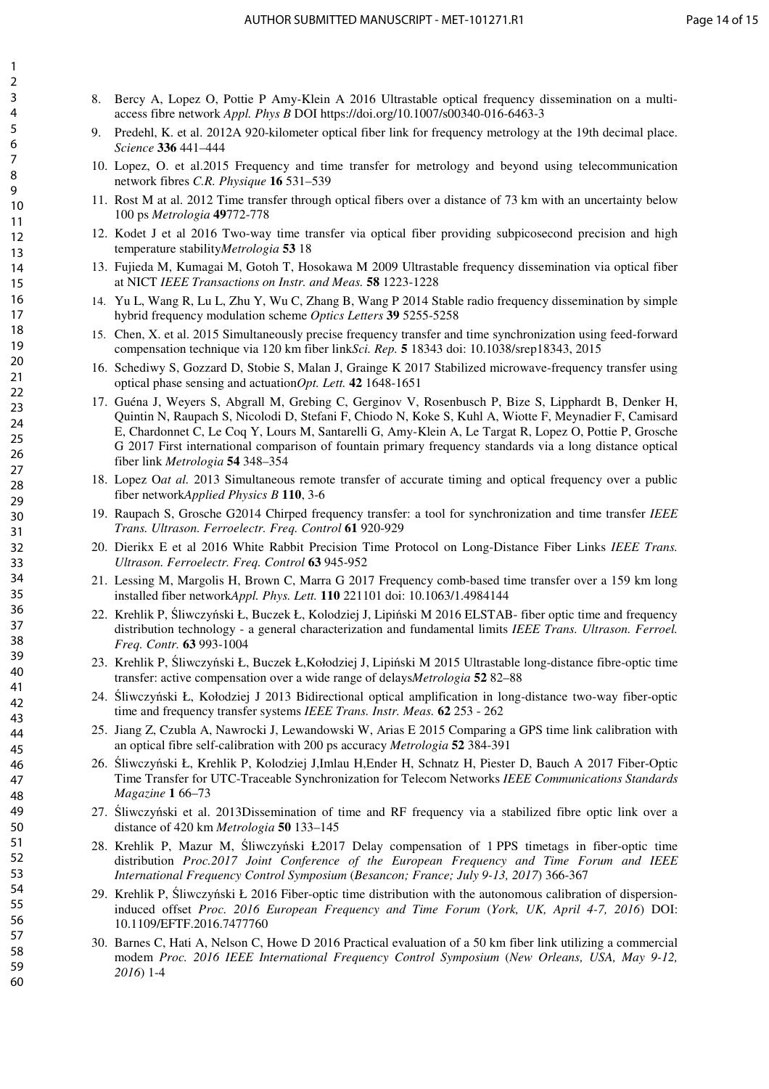- 8. Bercy A, Lopez O, Pottie P Amy-Klein A 2016 Ultrastable optical frequency dissemination on a multiaccess fibre network *Appl. Phys B* DOI https://doi.org/10.1007/s00340-016-6463-3
- 9. Predehl, K. et al. 2012A 920-kilometer optical fiber link for frequency metrology at the 19th decimal place. *Science* **336** 441–444
- 10. Lopez, O. et al.2015 Frequency and time transfer for metrology and beyond using telecommunication network fibres *C.R. Physique* **16** 531–539
- 11. Rost M at al. 2012 Time transfer through optical fibers over a distance of 73 km with an uncertainty below 100 ps *Metrologia* **49**772-778
- 12. Kodet J et al 2016 Two-way time transfer via optical fiber providing subpicosecond precision and high temperature stability*Metrologia* **53** 18
- 13. Fujieda M, Kumagai M, Gotoh T, Hosokawa M 2009 Ultrastable frequency dissemination via optical fiber at NICT *IEEE Transactions on Instr. and Meas.* **58** 1223-1228
- 14. Yu L, Wang R, Lu L, Zhu Y, Wu C, Zhang B, Wang P 2014 Stable radio frequency dissemination by simple hybrid frequency modulation scheme *Optics Letters* **39** 5255-5258
- 15. Chen, X. et al. 2015 Simultaneously precise frequency transfer and time synchronization using feed-forward compensation technique via 120 km fiber link*Sci. Rep.* **5** 18343 doi: 10.1038/srep18343, 2015
- 16. Schediwy S, Gozzard D, Stobie S, Malan J, Grainge K 2017 Stabilized microwave-frequency transfer using optical phase sensing and actuation*Opt. Lett.* **42** 1648-1651
- 17. Guéna J, Weyers S, Abgrall M, Grebing C, Gerginov V, Rosenbusch P, Bize S, Lipphardt B, Denker H, Quintin N, Raupach S, Nicolodi D, Stefani F, Chiodo N, Koke S, Kuhl A, Wiotte F, Meynadier F, Camisard E, Chardonnet C, Le Coq Y, Lours M, Santarelli G, Amy-Klein A, Le Targat R, Lopez O, Pottie P, Grosche G 2017 First international comparison of fountain primary frequency standards via a long distance optical fiber link *Metrologia* **54** 348–354
- 18. Lopez O*at al.* 2013 Simultaneous remote transfer of accurate timing and optical frequency over a public fiber network*Applied Physics B* **110**, 3-6
- 19. Raupach S, Grosche G2014 Chirped frequency transfer: a tool for synchronization and time transfer *IEEE Trans. Ultrason. Ferroelectr. Freq. Control* **61** 920-929
- 20. Dierikx E et al 2016 White Rabbit Precision Time Protocol on Long-Distance Fiber Links *IEEE Trans. Ultrason. Ferroelectr. Freq. Control* **63** 945-952
- 21. Lessing M, Margolis H, Brown C, Marra G 2017 Frequency comb-based time transfer over a 159 km long installed fiber network*Appl. Phys. Lett.* **110** 221101 doi: 10.1063/1.4984144
- 22. Krehlik P, Śliwczyński Ł, Buczek Ł, Kolodziej J, Lipiński M 2016 ELSTAB- fiber optic time and frequency distribution technology - a general characterization and fundamental limits *IEEE Trans. Ultrason. Ferroel. Freq. Contr.* **63** 993-1004
- 23. Krehlik P, Śliwczyński Ł, Buczek Ł,Kołodziej J, Lipiński M 2015 Ultrastable long-distance fibre-optic time transfer: active compensation over a wide range of delays*Metrologia* **52** 82–88
- 24. Śliwczyński Ł, Kołodziej J 2013 Bidirectional optical amplification in long-distance two-way fiber-optic time and frequency transfer systems *IEEE Trans. Instr. Meas.* **62** 253 - 262
- 25. Jiang Z, Czubla A, Nawrocki J, Lewandowski W, Arias E 2015 Comparing a GPS time link calibration with an optical fibre self-calibration with 200 ps accuracy *Metrologia* **52** 384-391
- 26. Śliwczyński Ł, Krehlik P, Kolodziej J,Imlau H,Ender H, Schnatz H, Piester D, Bauch A 2017 Fiber-Optic Time Transfer for UTC-Traceable Synchronization for Telecom Networks *IEEE Communications Standards Magazine* **1** 66–73
- 27. Śliwczyński et al. 2013Dissemination of time and RF frequency via a stabilized fibre optic link over a distance of 420 km *Metrologia* **50** 133–145
- 28. Krehlik P, Mazur M, Śliwczyński Ł2017 Delay compensation of 1 PPS timetags in fiber-optic time distribution *Proc.2017 Joint Conference of the European Frequency and Time Forum and IEEE International Frequency Control Symposium* (*Besancon; France; July 9-13, 2017*) 366-367
- 29. Krehlik P, Śliwczyński Ł 2016 Fiber-optic time distribution with the autonomous calibration of dispersioninduced offset *Proc. 2016 European Frequency and Time Forum* (*York, UK, April 4-7, 2016*) DOI: 10.1109/EFTF.2016.7477760
- 30. Barnes C, Hati A, Nelson C, Howe D 2016 Practical evaluation of a 50 km fiber link utilizing a commercial modem *Proc. 2016 IEEE International Frequency Control Symposium* (*New Orleans, USA, May 9-12, 2016*) 1-4